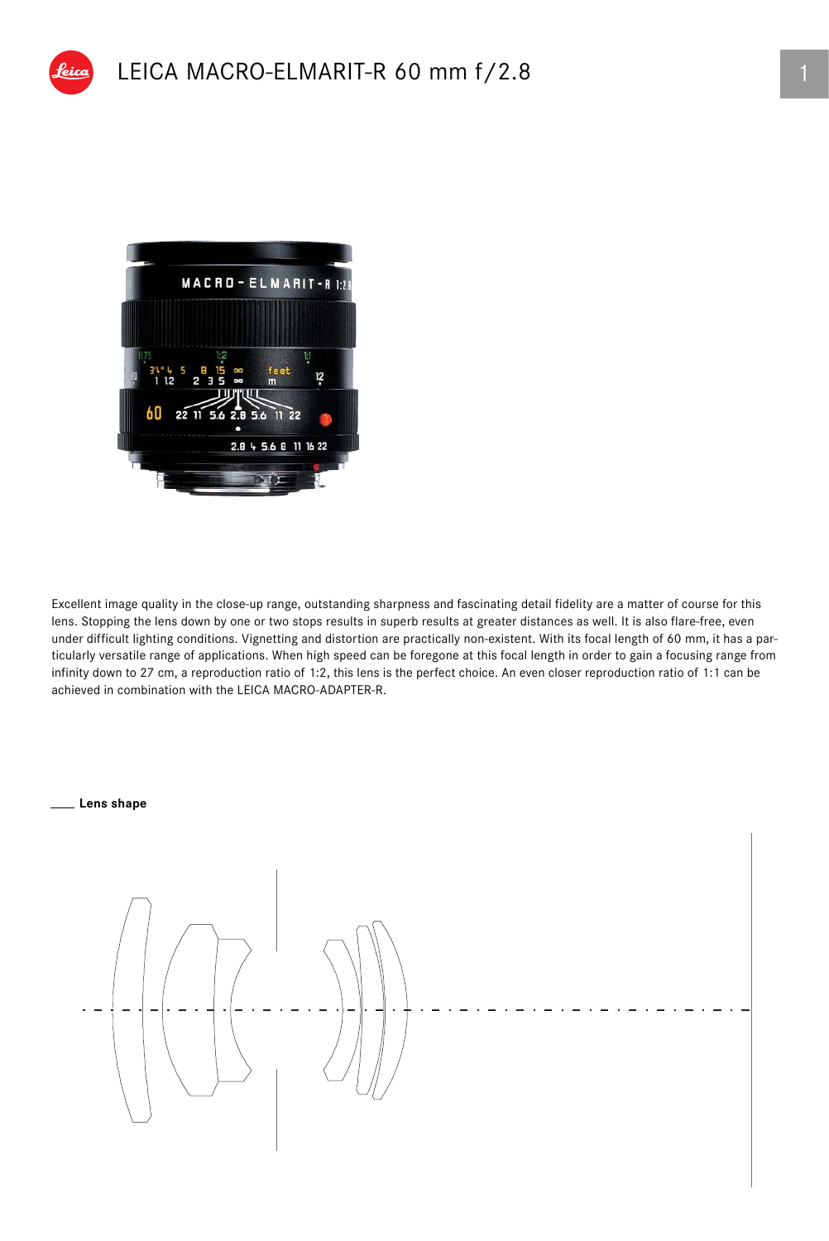

Excellent image quality in the close-up range, outstanding sharpness and fascinating detail fidelity are a matter of course for this lens. Stopping the lens down by one or two stops results in superb results at greater distances as well. It is also flare-free, even under difficult lighting conditions. Vignetting and distortion are practically non-existent. With its focal length of 60 mm, it has a particularly versatile range of applications. When high speed can be foregone at this focal length in order to gain a focusing range from infinity down to 27 cm, a reproduction ratio of 1:2, this lens is the perfect choice. An even closer reproduction ratio of 1:1 can be achieved in combination with the LEICA MACRO-ADAPTER-R.

#### **Lens shape**

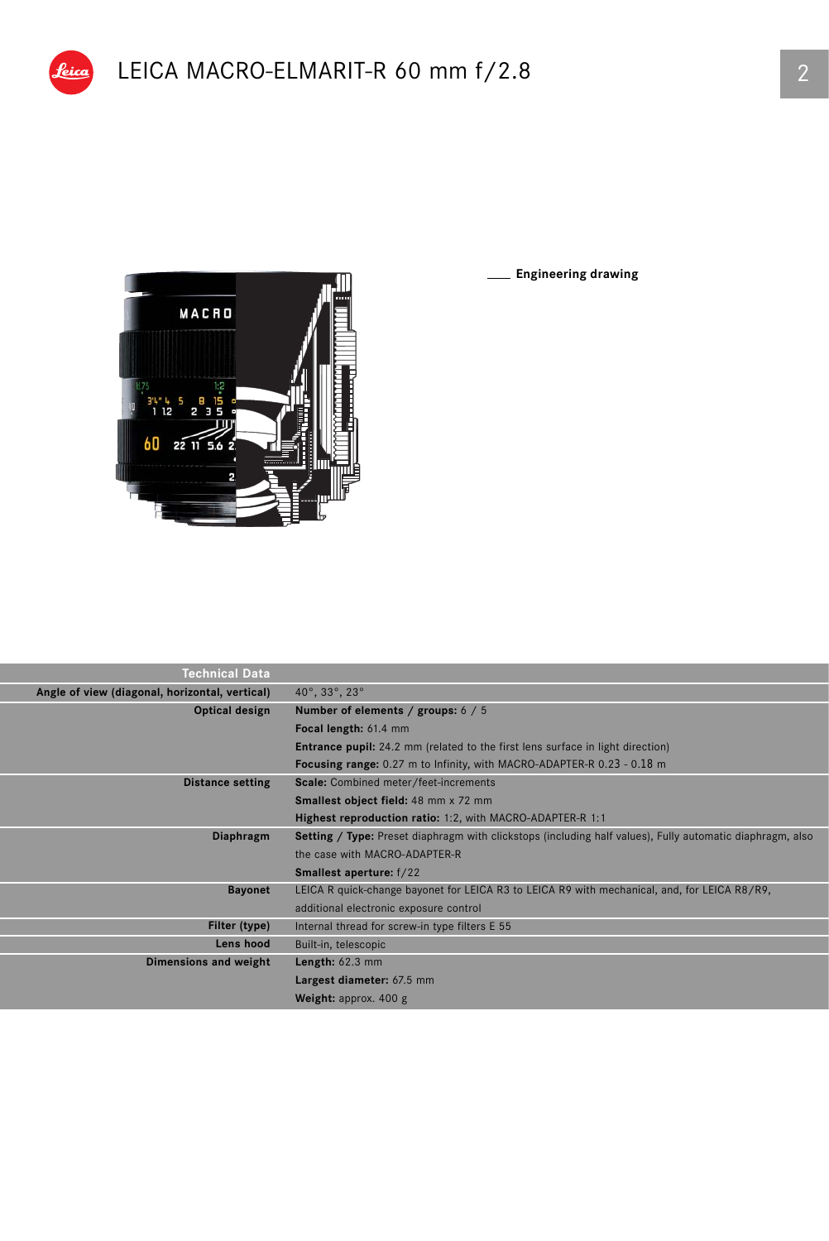

pica

**Engineering drawing**

| Technical Data                                 |                                                                                                           |  |  |  |
|------------------------------------------------|-----------------------------------------------------------------------------------------------------------|--|--|--|
| Angle of view (diagonal, horizontal, vertical) | $40^{\circ}$ , 33°, 23°                                                                                   |  |  |  |
| Optical design                                 | Number of elements / groups: 6 / 5                                                                        |  |  |  |
|                                                | Focal length: 61.4 mm                                                                                     |  |  |  |
|                                                | <b>Entrance pupil:</b> 24.2 mm (related to the first lens surface in light direction)                     |  |  |  |
|                                                | <b>Focusing range:</b> 0.27 m to Infinity, with MACRO-ADAPTER-R 0.23 - 0.18 m                             |  |  |  |
| <b>Distance setting</b>                        | Scale: Combined meter/feet-increments                                                                     |  |  |  |
|                                                | <b>Smallest object field: 48 mm x 72 mm</b>                                                               |  |  |  |
|                                                | Highest reproduction ratio: 1:2, with MACRO-ADAPTER-R 1:1                                                 |  |  |  |
| Diaphragm                                      | Setting / Type: Preset diaphragm with clickstops (including half values), Fully automatic diaphragm, also |  |  |  |
|                                                | the case with MACRO-ADAPTER-R                                                                             |  |  |  |
|                                                | <b>Smallest aperture:</b> f/22                                                                            |  |  |  |
| <b>Bayonet</b>                                 | LEICA R quick-change bayonet for LEICA R3 to LEICA R9 with mechanical, and, for LEICA R8/R9,              |  |  |  |
|                                                | additional electronic exposure control                                                                    |  |  |  |
| Filter (type)                                  | Internal thread for screw-in type filters E 55                                                            |  |  |  |
| Lens hood                                      | Built-in, telescopic                                                                                      |  |  |  |
| Dimensions and weight                          | Length: $62.3$ mm                                                                                         |  |  |  |
|                                                | Largest diameter: 67.5 mm                                                                                 |  |  |  |
|                                                | Weight: approx. $400 g$                                                                                   |  |  |  |
|                                                |                                                                                                           |  |  |  |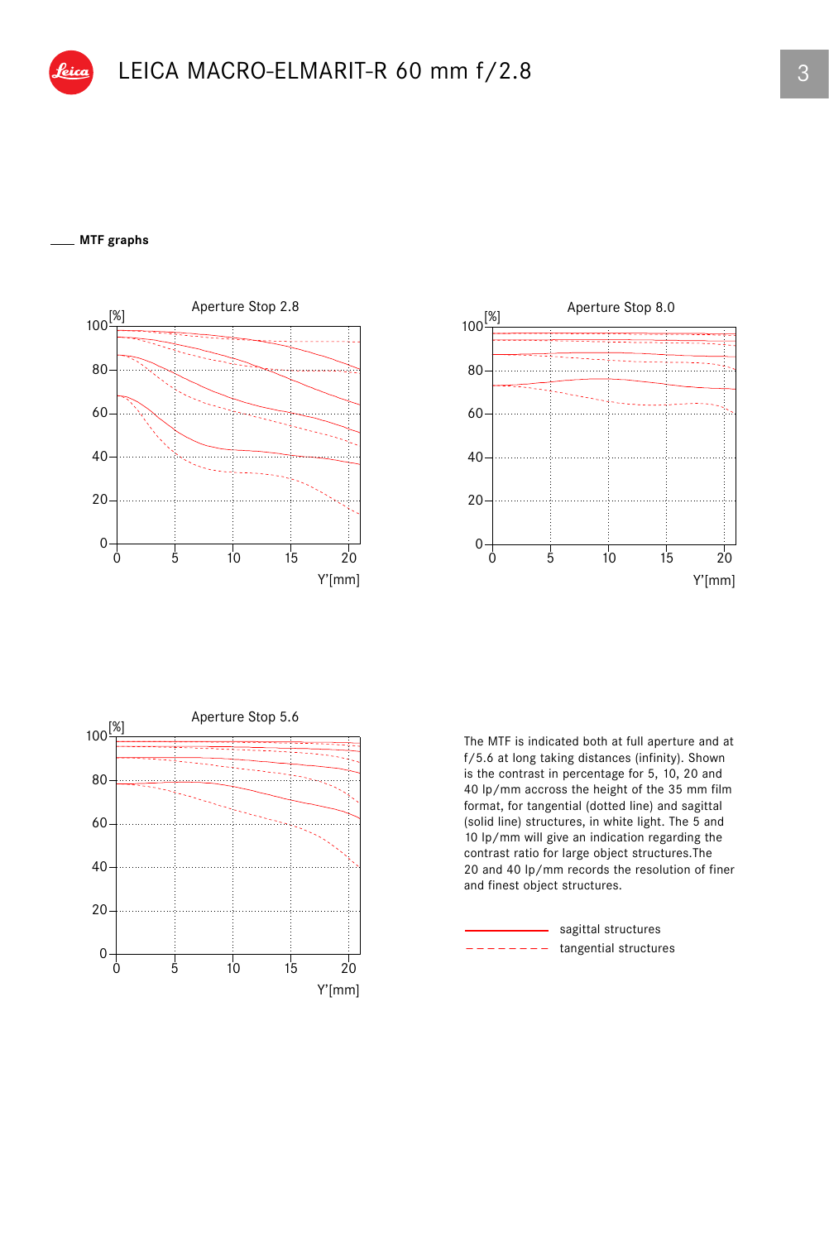### **MTF graphs**







The MTF is indicated both at full aperture and at f/5.6 at long taking distances (infinity). Shown is the contrast in percentage for 5, 10, 20 and 40 lp/mm accross the height of the 35 mm film format, for tangential (dotted line) and sagittal (solid line) structures, in white light. The 5 and 10 lp/mm will give an indication regarding the contrast ratio for large object structures.The 20 and 40 lp/mm records the resolution of finer and finest object structures.

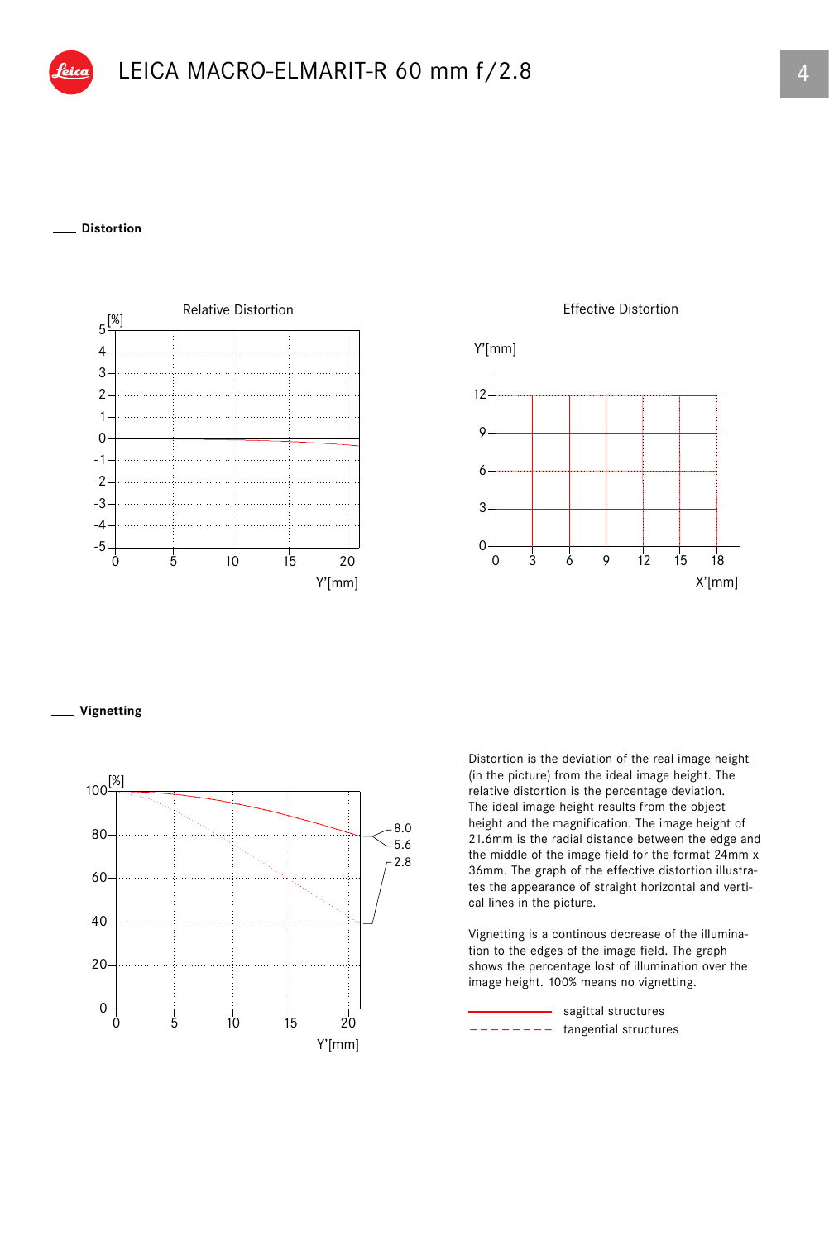### **Distortion**



Effective Distortion



### **Vignetting**



Distortion is the deviation of the real image height (in the picture) from the ideal image height. The relative distortion is the percentage deviation. The ideal image height results from the object height and the magnification. The image height of 21.6mm is the radial distance between the edge and the middle of the image field for the format 24mm x 36mm. The graph of the effective distortion illustrates the appearance of straight horizontal and vertical lines in the picture.

Vignetting is a continous decrease of the illumination to the edges of the image field. The graph shows the percentage lost of illumination over the image height. 100% means no vignetting.

tangential structures - sagittal structures  $- -$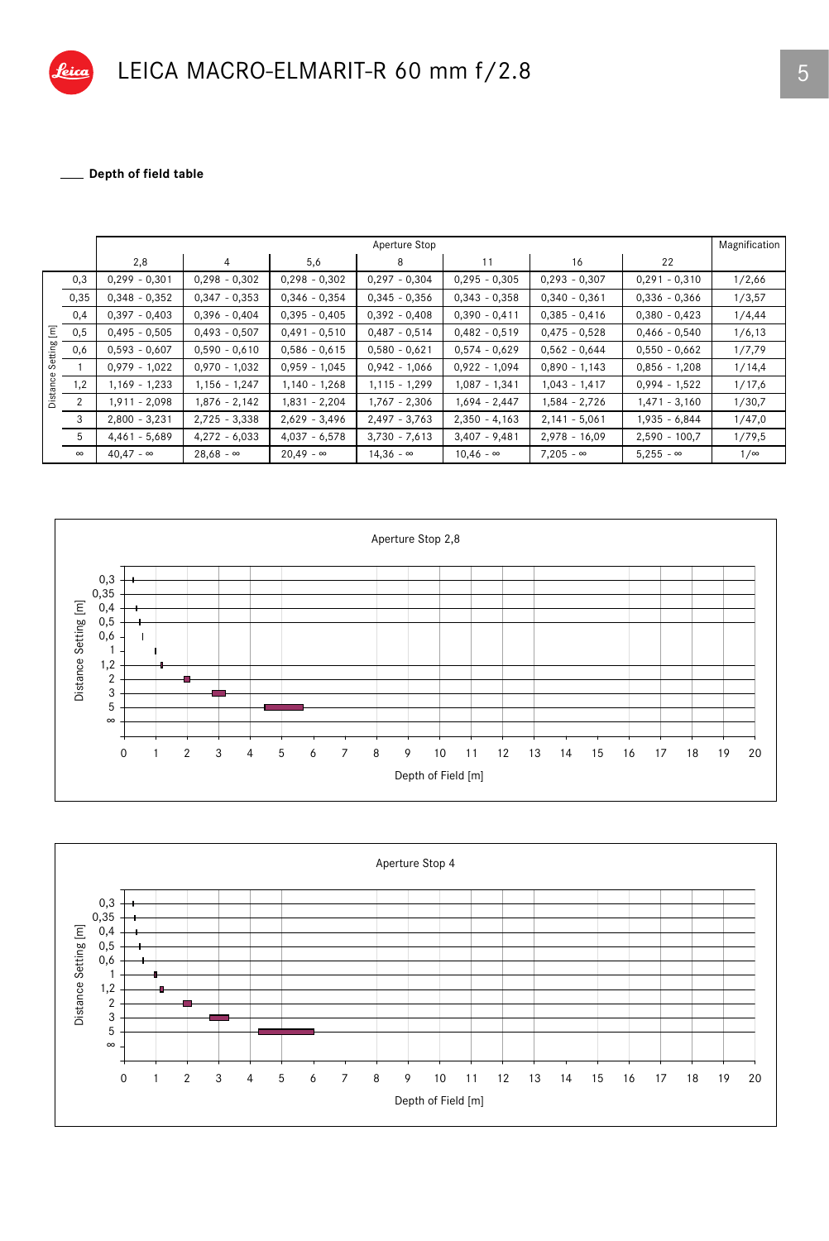

LEICA MACRO-ELMARIT-R 60 mm f/2.8

\_ Depth of field table

|                          |          | Aperture Stop    |                  |                  |                  |                  |                  |                  |            |  |
|--------------------------|----------|------------------|------------------|------------------|------------------|------------------|------------------|------------------|------------|--|
|                          |          | 2,8              | $\overline{4}$   | 5,6              | 8                | 11               | 16               | 22               |            |  |
| Ξ<br>Setting<br>Distance | 0,3      | $0,299 - 0,301$  | $0,298 - 0,302$  | $0,298 - 0,302$  | $0,297 - 0,304$  | $0,295 - 0,305$  | $0,293 - 0,307$  | $0,291 - 0,310$  | 1/2,66     |  |
|                          | 0,35     | $0,348 - 0,352$  | $0,347 - 0,353$  | $0,346 - 0,354$  | $0,345 - 0,356$  | $0,343 - 0,358$  | $0,340 - 0,361$  | $0,336 - 0,366$  | 1/3,57     |  |
|                          | 0,4      | $0,397 - 0,403$  | $0,396 - 0,404$  | $0,395 - 0,405$  | $0,392 - 0,408$  | $0,390 - 0,411$  | $0,385 - 0,416$  | $0,380 - 0,423$  | 1/4,44     |  |
|                          | 0,5      | $0,495 - 0,505$  | $0,493 - 0,507$  | $0,491 - 0,510$  | $0,487 - 0,514$  | $0,482 - 0,519$  | $0,475 - 0,528$  | $0,466 - 0,540$  | 1/6, 13    |  |
|                          | 0,6      | $0,593 - 0,607$  | $0,590 - 0,610$  | $0,586 - 0,615$  | $0,580 - 0,621$  | $0,574 - 0,629$  | $0,562 - 0,644$  | $0,550 - 0,662$  | 1/7,79     |  |
|                          |          | $0,979 - 1,022$  | $0,970 - 1,032$  | $0,959 - 1,045$  | $0,942 - 1,066$  | $0,922 - 1,094$  | $0,890 - 1,143$  | $0.856 - 1.208$  | 1/14,4     |  |
|                          | 1,2      | $1,169 - 1,233$  | $1,156 - 1,247$  | $1,140 - 1,268$  | $1,115 - 1,299$  | $1,087 - 1,341$  | $1,043 - 1,417$  | $0,994 - 1,522$  | 1/17,6     |  |
|                          | 2        | $1,911 - 2,098$  | $1,876 - 2,142$  | 1,831 - 2,204    | $1,767 - 2,306$  | $1,694 - 2,447$  | 1,584 - 2,726    | $1,471 - 3,160$  | 1/30,7     |  |
|                          | 3        | $2,800 - 3,231$  | $2,725 - 3,338$  | $2,629 - 3,496$  | $2,497 - 3,763$  | $2,350 - 4,163$  | $2,141 - 5,061$  | $1,935 - 6,844$  | 1/47,0     |  |
|                          | 5        | $4,461 - 5,689$  | $4,272 - 6,033$  | $4,037 - 6,578$  | $3,730 - 7,613$  | $3,407 - 9,481$  | $2,978 - 16,09$  | $2,590 - 100,7$  | 1/79,5     |  |
|                          | $\infty$ | $40.47 - \infty$ | $28,68 - \infty$ | $20.49 - \infty$ | $14,36 - \infty$ | $10.46 - \infty$ | $7.205 - \infty$ | $5.255 - \infty$ | $1/\infty$ |  |



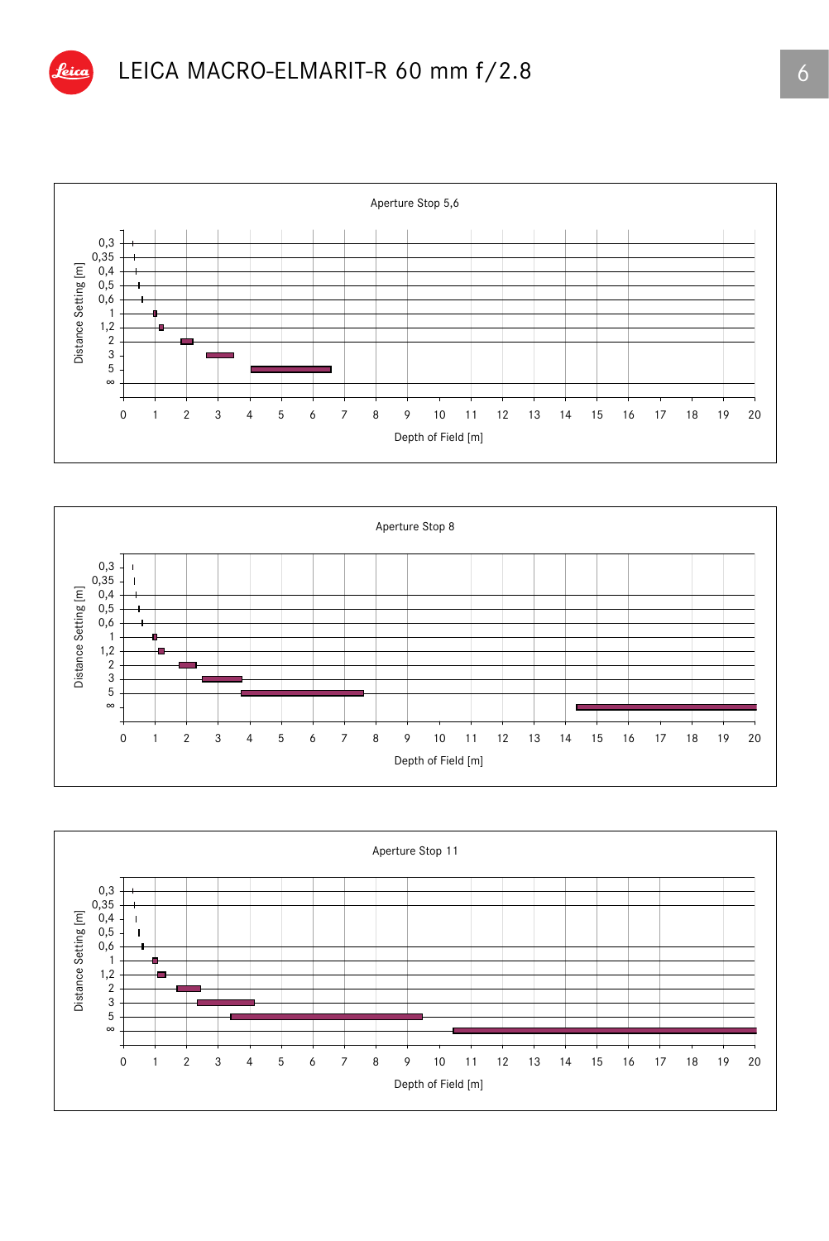

## LEICA MACRO-ELMARIT-R 60 mm f/2.8